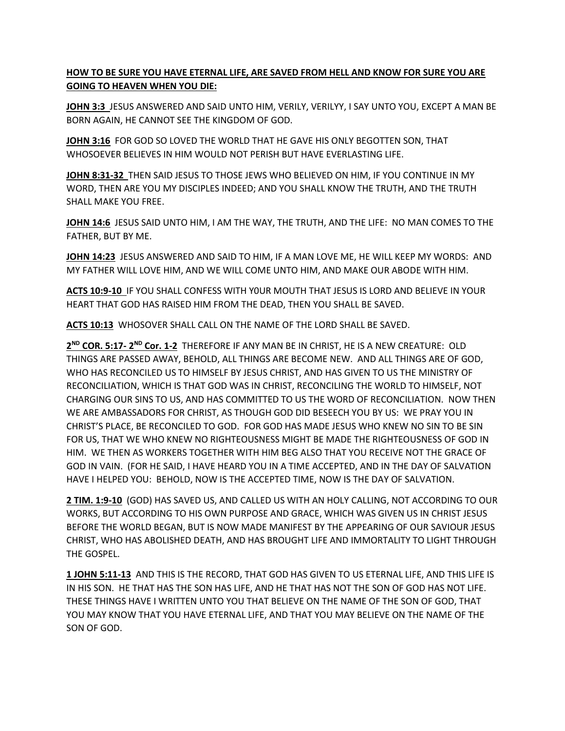## **HOW TO BE SURE YOU HAVE ETERNAL LIFE, ARE SAVED FROM HELL AND KNOW FOR SURE YOU ARE GOING TO HEAVEN WHEN YOU DIE:**

**JOHN 3:3** JESUS ANSWERED AND SAID UNTO HIM, VERILY, VERILYY, I SAY UNTO YOU, EXCEPT A MAN BE BORN AGAIN, HE CANNOT SEE THE KINGDOM OF GOD.

**JOHN 3:16** FOR GOD SO LOVED THE WORLD THAT HE GAVE HIS ONLY BEGOTTEN SON, THAT WHOSOEVER BELIEVES IN HIM WOULD NOT PERISH BUT HAVE EVERLASTING LIFE.

**JOHN 8:31-32** THEN SAID JESUS TO THOSE JEWS WHO BELIEVED ON HIM, IF YOU CONTINUE IN MY WORD, THEN ARE YOU MY DISCIPLES INDEED; AND YOU SHALL KNOW THE TRUTH, AND THE TRUTH SHALL MAKE YOU FREE.

**JOHN 14:6** JESUS SAID UNTO HIM, I AM THE WAY, THE TRUTH, AND THE LIFE: NO MAN COMES TO THE FATHER, BUT BY ME.

**JOHN 14:23** JESUS ANSWERED AND SAID TO HIM, IF A MAN LOVE ME, HE WILL KEEP MY WORDS: AND MY FATHER WILL LOVE HIM, AND WE WILL COME UNTO HIM, AND MAKE OUR ABODE WITH HIM.

**ACTS 10:9-10** IF YOU SHALL CONFESS WITH Y0UR MOUTH THAT JESUS IS LORD AND BELIEVE IN YOUR HEART THAT GOD HAS RAISED HIM FROM THE DEAD, THEN YOU SHALL BE SAVED.

**ACTS 10:13** WHOSOVER SHALL CALL ON THE NAME OF THE LORD SHALL BE SAVED.

**2 ND COR. 5:17- 2 ND Cor. 1-2** THEREFORE IF ANY MAN BE IN CHRIST, HE IS A NEW CREATURE: OLD THINGS ARE PASSED AWAY, BEHOLD, ALL THINGS ARE BECOME NEW. AND ALL THINGS ARE OF GOD, WHO HAS RECONCILED US TO HIMSELF BY JESUS CHRIST, AND HAS GIVEN TO US THE MINISTRY OF RECONCILIATION, WHICH IS THAT GOD WAS IN CHRIST, RECONCILING THE WORLD TO HIMSELF, NOT CHARGING OUR SINS TO US, AND HAS COMMITTED TO US THE WORD OF RECONCILIATION. NOW THEN WE ARE AMBASSADORS FOR CHRIST, AS THOUGH GOD DID BESEECH YOU BY US: WE PRAY YOU IN CHRIST'S PLACE, BE RECONCILED TO GOD. FOR GOD HAS MADE JESUS WHO KNEW NO SIN TO BE SIN FOR US, THAT WE WHO KNEW NO RIGHTEOUSNESS MIGHT BE MADE THE RIGHTEOUSNESS OF GOD IN HIM. WE THEN AS WORKERS TOGETHER WITH HIM BEG ALSO THAT YOU RECEIVE NOT THE GRACE OF GOD IN VAIN. (FOR HE SAID, I HAVE HEARD YOU IN A TIME ACCEPTED, AND IN THE DAY OF SALVATION HAVE I HELPED YOU: BEHOLD, NOW IS THE ACCEPTED TIME, NOW IS THE DAY OF SALVATION.

**2 TIM. 1:9-10** (GOD) HAS SAVED US, AND CALLED US WITH AN HOLY CALLING, NOT ACCORDING TO OUR WORKS, BUT ACCORDING TO HIS OWN PURPOSE AND GRACE, WHICH WAS GIVEN US IN CHRIST JESUS BEFORE THE WORLD BEGAN, BUT IS NOW MADE MANIFEST BY THE APPEARING OF OUR SAVIOUR JESUS CHRIST, WHO HAS ABOLISHED DEATH, AND HAS BROUGHT LIFE AND IMMORTALITY TO LIGHT THROUGH THE GOSPEL.

**1 JOHN 5:11-13** AND THIS IS THE RECORD, THAT GOD HAS GIVEN TO US ETERNAL LIFE, AND THIS LIFE IS IN HIS SON. HE THAT HAS THE SON HAS LIFE, AND HE THAT HAS NOT THE SON OF GOD HAS NOT LIFE. THESE THINGS HAVE I WRITTEN UNTO YOU THAT BELIEVE ON THE NAME OF THE SON OF GOD, THAT YOU MAY KNOW THAT YOU HAVE ETERNAL LIFE, AND THAT YOU MAY BELIEVE ON THE NAME OF THE SON OF GOD.